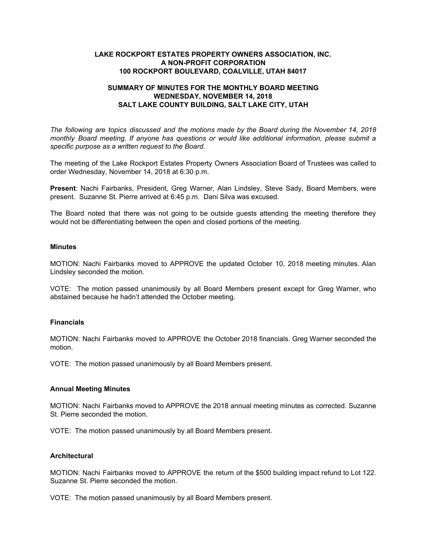## **LAKE ROCKPORT ESTATES PROPERTY OWNERS ASSOCIATION, INC. A NON-PROFIT CORPORATION 100 ROCKPORT BOULEVARD, COALVILLE, UTAH 84017**

# **SUMMARY OF MINUTES FOR THE MONTHLY BOARD MEETING WEDNESDAY, NOVEMBER 14, 2018 SALT LAKE COUNTY BUILDING, SALT LAKE CITY, UTAH**

*The following are topics discussed and the motions made by the Board during the November 14, 2018 monthly Board meeting. If anyone has questions or would like additional information, please submit a specific purpose as a written request to the Board.*

The meeting of the Lake Rockport Estates Property Owners Association Board of Trustees was called to order Wednesday, November 14, 2018 at 6:30 p.m.

**Present**: Nachi Fairbanks, President, Greg Warner, Alan Lindsley, Steve Sady, Board Members, were present. Suzanne St. Pierre arrived at 6:45 p.m. Dani Silva was excused.

The Board noted that there was not going to be outside guests attending the meeting therefore they would not be differentiating between the open and closed portions of the meeting.

### **Minutes**

MOTION: Nachi Fairbanks moved to APPROVE the updated October 10, 2018 meeting minutes. Alan Lindsley seconded the motion.

VOTE: The motion passed unanimously by all Board Members present except for Greg Warner, who abstained because he hadn't attended the October meeting.

### **Financials**

MOTION: Nachi Fairbanks moved to APPROVE the October 2018 financials. Greg Warner seconded the motion.

VOTE: The motion passed unanimously by all Board Members present.

### **Annual Meeting Minutes**

MOTION: Nachi Fairbanks moved to APPROVE the 2018 annual meeting minutes as corrected. Suzanne St. Pierre seconded the motion.

VOTE: The motion passed unanimously by all Board Members present.

#### **Architectural**

MOTION: Nachi Fairbanks moved to APPROVE the return of the \$500 building impact refund to Lot 122. Suzanne St. Pierre seconded the motion.

VOTE: The motion passed unanimously by all Board Members present.